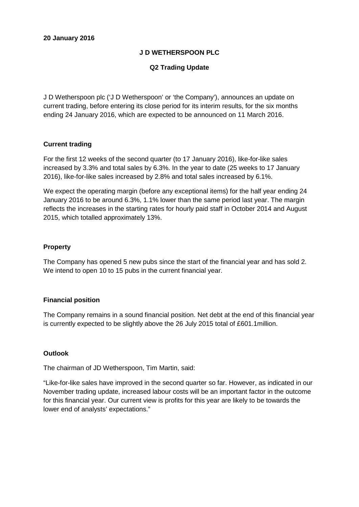# **J D WETHERSPOON PLC**

# **Q2 Trading Update**

J D Wetherspoon plc ('J D Wetherspoon' or 'the Company'), announces an update on current trading, before entering its close period for its interim results, for the six months ending 24 January 2016, which are expected to be announced on 11 March 2016.

## **Current trading**

For the first 12 weeks of the second quarter (to 17 January 2016), like-for-like sales increased by 3.3% and total sales by 6.3%. In the year to date (25 weeks to 17 January 2016), like-for-like sales increased by 2.8% and total sales increased by 6.1%.

We expect the operating margin (before any exceptional items) for the half year ending 24 January 2016 to be around 6.3%, 1.1% lower than the same period last year. The margin reflects the increases in the starting rates for hourly paid staff in October 2014 and August 2015, which totalled approximately 13%.

## **Property**

The Company has opened 5 new pubs since the start of the financial year and has sold 2. We intend to open 10 to 15 pubs in the current financial year.

## **Financial position**

The Company remains in a sound financial position. Net debt at the end of this financial year is currently expected to be slightly above the 26 July 2015 total of £601.1million.

## **Outlook**

The chairman of JD Wetherspoon, Tim Martin, said:

"Like-for-like sales have improved in the second quarter so far. However, as indicated in our November trading update, increased labour costs will be an important factor in the outcome for this financial year. Our current view is profits for this year are likely to be towards the lower end of analysts' expectations."